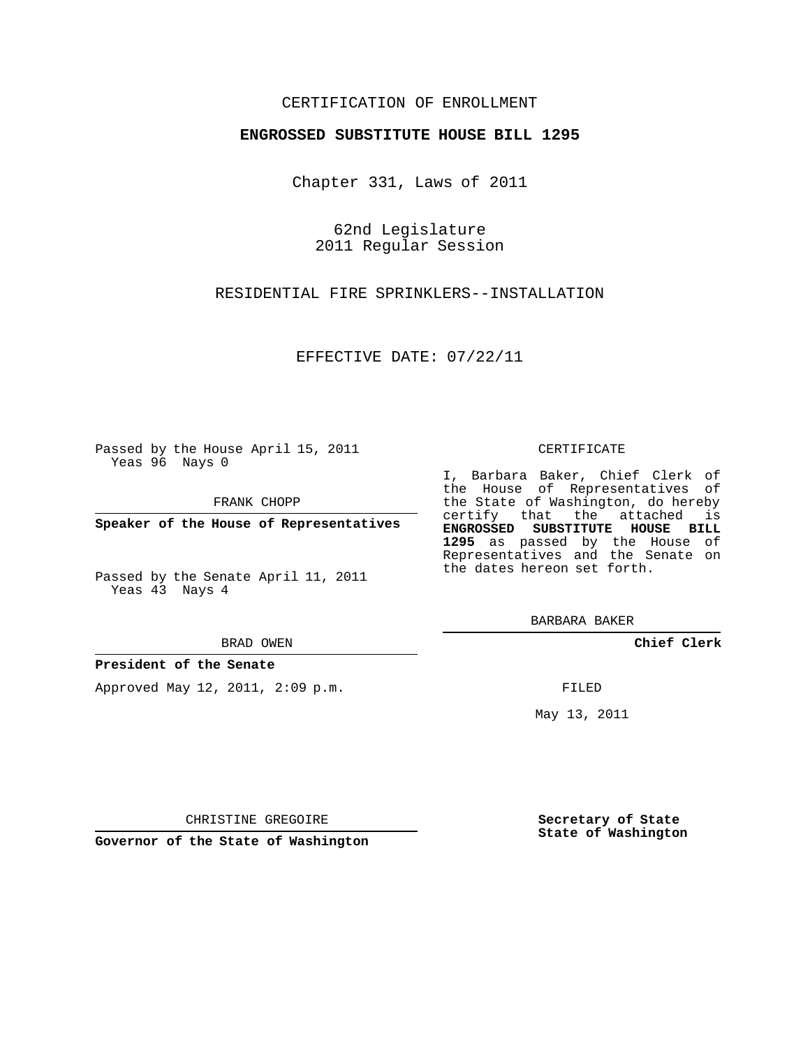### CERTIFICATION OF ENROLLMENT

#### **ENGROSSED SUBSTITUTE HOUSE BILL 1295**

Chapter 331, Laws of 2011

62nd Legislature 2011 Regular Session

RESIDENTIAL FIRE SPRINKLERS--INSTALLATION

EFFECTIVE DATE: 07/22/11

Passed by the House April 15, 2011 Yeas 96 Nays 0

FRANK CHOPP

**Speaker of the House of Representatives**

Passed by the Senate April 11, 2011 Yeas 43 Nays 4

#### BRAD OWEN

**President of the Senate**

Approved May 12, 2011, 2:09 p.m.

#### CERTIFICATE

I, Barbara Baker, Chief Clerk of the House of Representatives of the State of Washington, do hereby certify that the attached is **ENGROSSED SUBSTITUTE HOUSE BILL 1295** as passed by the House of Representatives and the Senate on

BARBARA BAKER

**Chief Clerk**

FILED

May 13, 2011

**Secretary of State State of Washington**

CHRISTINE GREGOIRE

**Governor of the State of Washington**

the dates hereon set forth.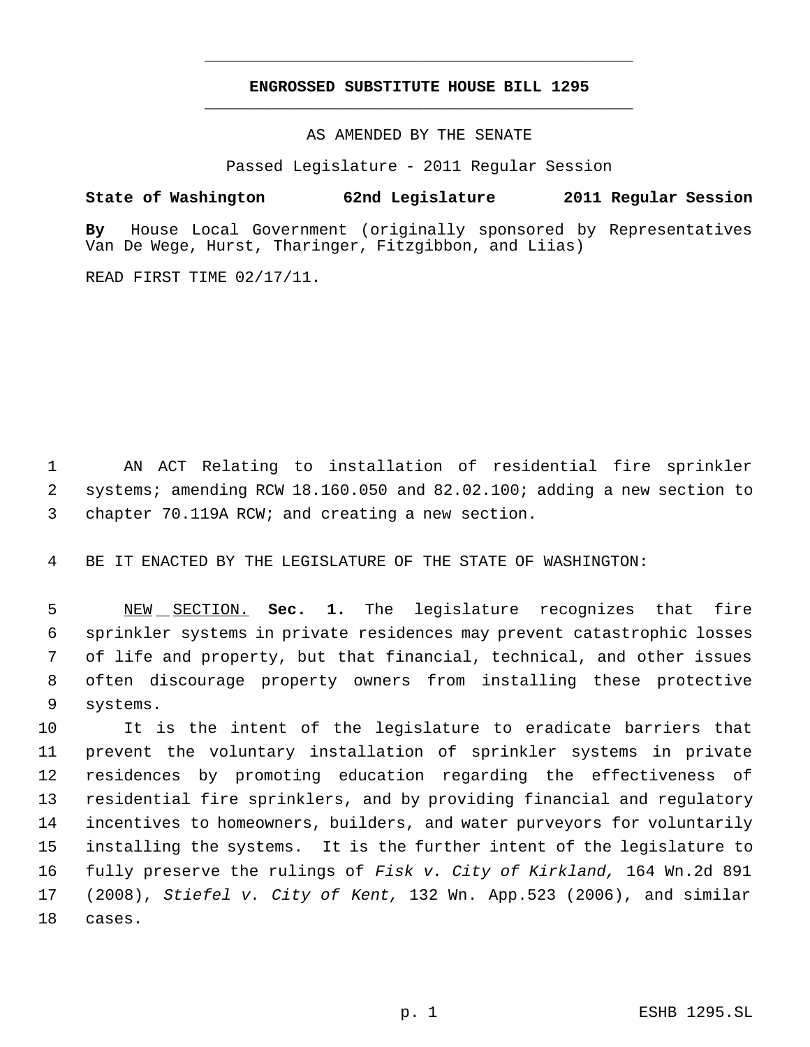# **ENGROSSED SUBSTITUTE HOUSE BILL 1295** \_\_\_\_\_\_\_\_\_\_\_\_\_\_\_\_\_\_\_\_\_\_\_\_\_\_\_\_\_\_\_\_\_\_\_\_\_\_\_\_\_\_\_\_\_

\_\_\_\_\_\_\_\_\_\_\_\_\_\_\_\_\_\_\_\_\_\_\_\_\_\_\_\_\_\_\_\_\_\_\_\_\_\_\_\_\_\_\_\_\_

AS AMENDED BY THE SENATE

Passed Legislature - 2011 Regular Session

## **State of Washington 62nd Legislature 2011 Regular Session**

**By** House Local Government (originally sponsored by Representatives Van De Wege, Hurst, Tharinger, Fitzgibbon, and Liias)

READ FIRST TIME 02/17/11.

 AN ACT Relating to installation of residential fire sprinkler systems; amending RCW 18.160.050 and 82.02.100; adding a new section to chapter 70.119A RCW; and creating a new section.

BE IT ENACTED BY THE LEGISLATURE OF THE STATE OF WASHINGTON:

 NEW SECTION. **Sec. 1.** The legislature recognizes that fire sprinkler systems in private residences may prevent catastrophic losses of life and property, but that financial, technical, and other issues often discourage property owners from installing these protective systems.

 It is the intent of the legislature to eradicate barriers that prevent the voluntary installation of sprinkler systems in private residences by promoting education regarding the effectiveness of residential fire sprinklers, and by providing financial and regulatory incentives to homeowners, builders, and water purveyors for voluntarily installing the systems. It is the further intent of the legislature to fully preserve the rulings of *Fisk v. City of Kirkland,* 164 Wn.2d 891 (2008), *Stiefel v. City of Kent,* 132 Wn. App.523 (2006), and similar cases.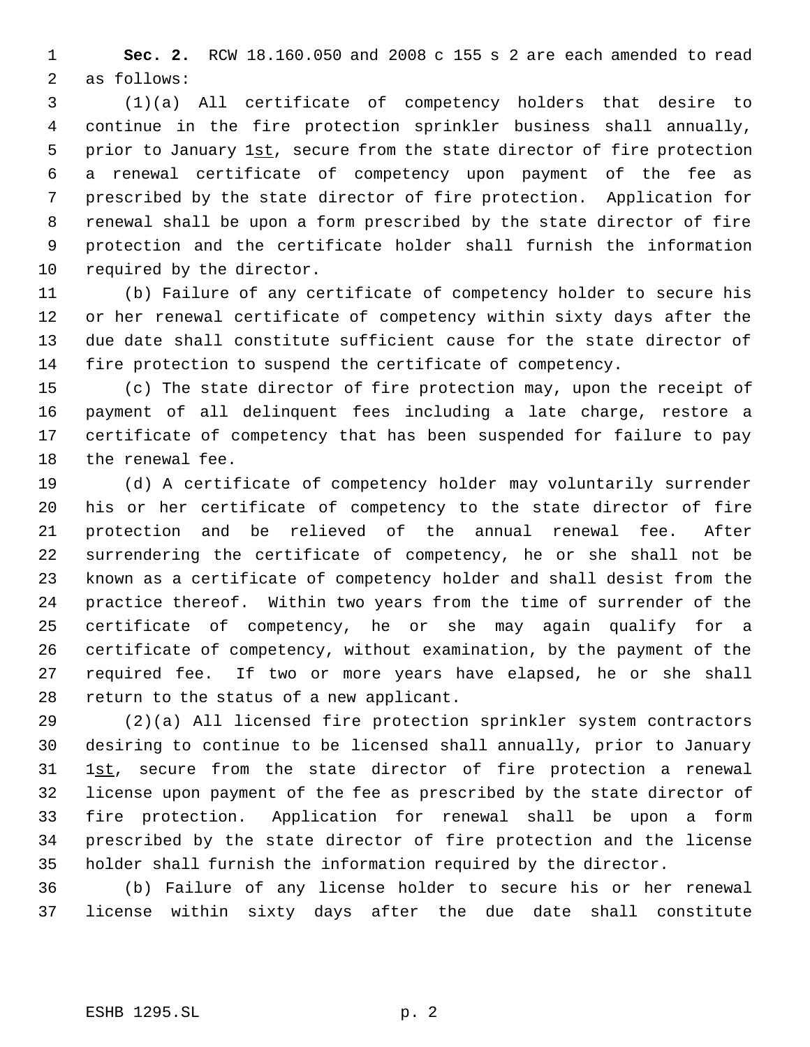**Sec. 2.** RCW 18.160.050 and 2008 c 155 s 2 are each amended to read as follows:

 (1)(a) All certificate of competency holders that desire to continue in the fire protection sprinkler business shall annually, 5 prior to January 1st, secure from the state director of fire protection a renewal certificate of competency upon payment of the fee as prescribed by the state director of fire protection. Application for renewal shall be upon a form prescribed by the state director of fire protection and the certificate holder shall furnish the information required by the director.

 (b) Failure of any certificate of competency holder to secure his or her renewal certificate of competency within sixty days after the due date shall constitute sufficient cause for the state director of fire protection to suspend the certificate of competency.

 (c) The state director of fire protection may, upon the receipt of payment of all delinquent fees including a late charge, restore a certificate of competency that has been suspended for failure to pay the renewal fee.

 (d) A certificate of competency holder may voluntarily surrender his or her certificate of competency to the state director of fire protection and be relieved of the annual renewal fee. After surrendering the certificate of competency, he or she shall not be known as a certificate of competency holder and shall desist from the practice thereof. Within two years from the time of surrender of the certificate of competency, he or she may again qualify for a certificate of competency, without examination, by the payment of the required fee. If two or more years have elapsed, he or she shall return to the status of a new applicant.

 (2)(a) All licensed fire protection sprinkler system contractors desiring to continue to be licensed shall annually, prior to January 31 1st, secure from the state director of fire protection a renewal license upon payment of the fee as prescribed by the state director of fire protection. Application for renewal shall be upon a form prescribed by the state director of fire protection and the license holder shall furnish the information required by the director.

 (b) Failure of any license holder to secure his or her renewal license within sixty days after the due date shall constitute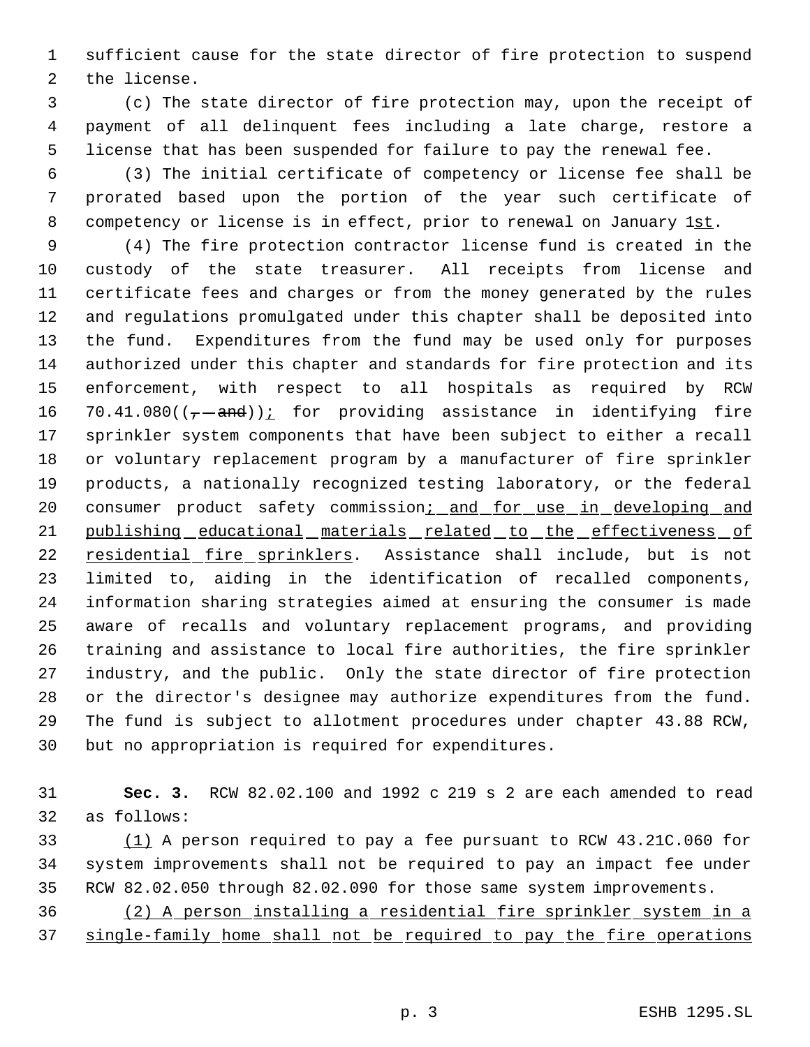sufficient cause for the state director of fire protection to suspend the license.

 (c) The state director of fire protection may, upon the receipt of payment of all delinquent fees including a late charge, restore a license that has been suspended for failure to pay the renewal fee.

 (3) The initial certificate of competency or license fee shall be prorated based upon the portion of the year such certificate of 8 competency or license is in effect, prior to renewal on January 1st.

 (4) The fire protection contractor license fund is created in the custody of the state treasurer. All receipts from license and certificate fees and charges or from the money generated by the rules and regulations promulgated under this chapter shall be deposited into the fund. Expenditures from the fund may be used only for purposes authorized under this chapter and standards for fire protection and its enforcement, with respect to all hospitals as required by RCW 16 70.41.080( $(-$ -and)) $\frac{i}{c}$  for providing assistance in identifying fire sprinkler system components that have been subject to either a recall or voluntary replacement program by a manufacturer of fire sprinkler products, a nationally recognized testing laboratory, or the federal 20 consumer product safety commission; and for use in developing and publishing educational materials related to the effectiveness of residential fire sprinklers. Assistance shall include, but is not limited to, aiding in the identification of recalled components, information sharing strategies aimed at ensuring the consumer is made aware of recalls and voluntary replacement programs, and providing training and assistance to local fire authorities, the fire sprinkler industry, and the public. Only the state director of fire protection or the director's designee may authorize expenditures from the fund. The fund is subject to allotment procedures under chapter 43.88 RCW, but no appropriation is required for expenditures.

 **Sec. 3.** RCW 82.02.100 and 1992 c 219 s 2 are each amended to read as follows:

 (1) A person required to pay a fee pursuant to RCW 43.21C.060 for system improvements shall not be required to pay an impact fee under RCW 82.02.050 through 82.02.090 for those same system improvements.

 (2) A person installing a residential fire sprinkler system in a single-family home shall not be required to pay the fire operations